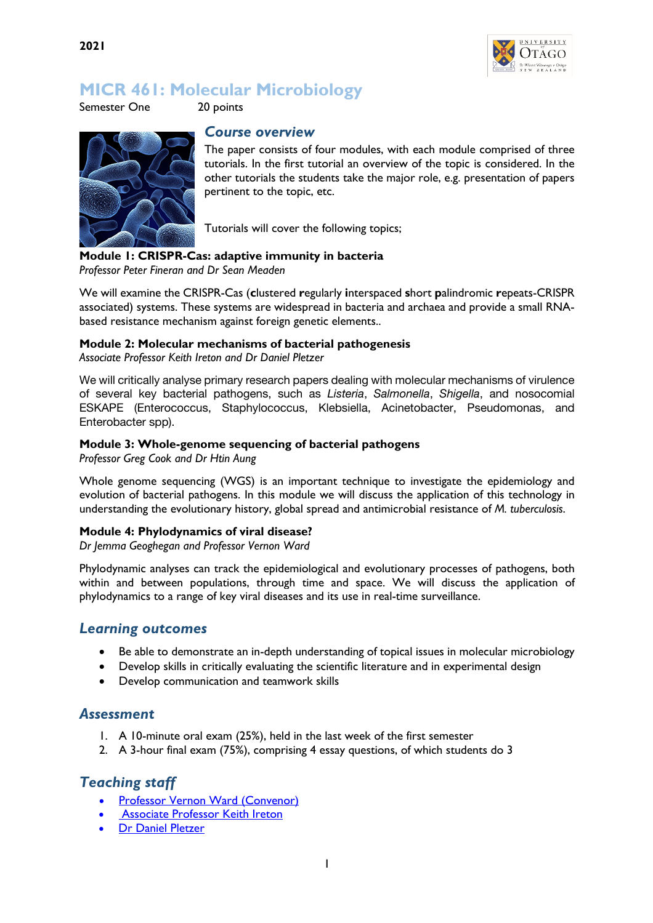

# **MICR 461: Molecular Microbiology**

Semester One 20 points



#### *Course overview*

The paper consists of four modules, with each module comprised of three tutorials. In the first tutorial an overview of the topic is considered. In the other tutorials the students take the major role, e.g. presentation of papers pertinent to the topic, etc.

Tutorials will cover the following topics;

#### **Module 1: CRISPR-Cas: adaptive immunity in bacteria**

*Professor Peter Fineran and Dr Sean Meaden*

We will examine the CRISPR-Cas (**c**lustered **r**egularly **i**nterspaced **s**hort **p**alindromic **r**epeats-CRISPR associated) systems. These systems are widespread in bacteria and archaea and provide a small RNAbased resistance mechanism against foreign genetic elements..

#### **Module 2: Molecular mechanisms of bacterial pathogenesis**

*Associate Professor Keith Ireton and Dr Daniel Pletzer*

We will critically analyse primary research papers dealing with molecular mechanisms of virulence of several key bacterial pathogens, such as *Listeria*, *Salmonella*, *Shigella*, and nosocomial ESKAPE (Enterococcus, Staphylococcus, Klebsiella, Acinetobacter, Pseudomonas, and Enterobacter spp).

#### **Module 3: Whole-genome sequencing of bacterial pathogens**

*Professor Greg Cook and Dr Htin Aung*

Whole genome sequencing (WGS) is an important technique to investigate the epidemiology and evolution of bacterial pathogens. In this module we will discuss the application of this technology in understanding the evolutionary history, global spread and antimicrobial resistance of *M. tuberculosis*.

#### **Module 4: Phylodynamics of viral disease?**

*Dr Jemma Geoghegan and Professor Vernon Ward*

Phylodynamic analyses can track the epidemiological and evolutionary processes of pathogens, both within and between populations, through time and space. We will discuss the application of phylodynamics to a range of key viral diseases and its use in real-time surveillance.

### *Learning outcomes*

- Be able to demonstrate an in-depth understanding of topical issues in molecular microbiology
- Develop skills in critically evaluating the scientific literature and in experimental design
- Develop communication and teamwork skills

### *Assessment*

- 1. A 10-minute oral exam (25%), held in the last week of the first semester
- 2. A 3-hour final exam (75%), comprising 4 essay questions, of which students do 3

# *Teaching staff*

- Professor Vernon Ward (Convenor)
- **Associate Professor Keith Ireton**
- Dr Daniel Pletzer